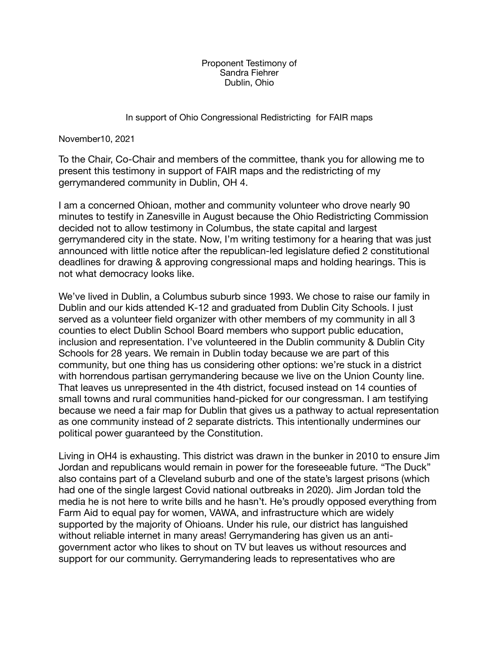Proponent Testimony of Sandra Fiehrer Dublin, Ohio

## In support of Ohio Congressional Redistricting for FAIR maps

November10, 2021

To the Chair, Co-Chair and members of the committee, thank you for allowing me to present this testimony in support of FAIR maps and the redistricting of my gerrymandered community in Dublin, OH 4.

I am a concerned Ohioan, mother and community volunteer who drove nearly 90 minutes to testify in Zanesville in August because the Ohio Redistricting Commission decided not to allow testimony in Columbus, the state capital and largest gerrymandered city in the state. Now, I'm writing testimony for a hearing that was just announced with little notice after the republican-led legislature defied 2 constitutional deadlines for drawing & approving congressional maps and holding hearings. This is not what democracy looks like.

We've lived in Dublin, a Columbus suburb since 1993. We chose to raise our family in Dublin and our kids attended K-12 and graduated from Dublin City Schools. I just served as a volunteer field organizer with other members of my community in all 3 counties to elect Dublin School Board members who support public education, inclusion and representation. I've volunteered in the Dublin community & Dublin City Schools for 28 years. We remain in Dublin today because we are part of this community, but one thing has us considering other options: we're stuck in a district with horrendous partisan gerrymandering because we live on the Union County line. That leaves us unrepresented in the 4th district, focused instead on 14 counties of small towns and rural communities hand-picked for our congressman. I am testifying because we need a fair map for Dublin that gives us a pathway to actual representation as one community instead of 2 separate districts. This intentionally undermines our political power guaranteed by the Constitution.

Living in OH4 is exhausting. This district was drawn in the bunker in 2010 to ensure Jim Jordan and republicans would remain in power for the foreseeable future. "The Duck" also contains part of a Cleveland suburb and one of the state's largest prisons (which had one of the single largest Covid national outbreaks in 2020). Jim Jordan told the media he is not here to write bills and he hasn't. He's proudly opposed everything from Farm Aid to equal pay for women, VAWA, and infrastructure which are widely supported by the majority of Ohioans. Under his rule, our district has languished without reliable internet in many areas! Gerrymandering has given us an antigovernment actor who likes to shout on TV but leaves us without resources and support for our community. Gerrymandering leads to representatives who are